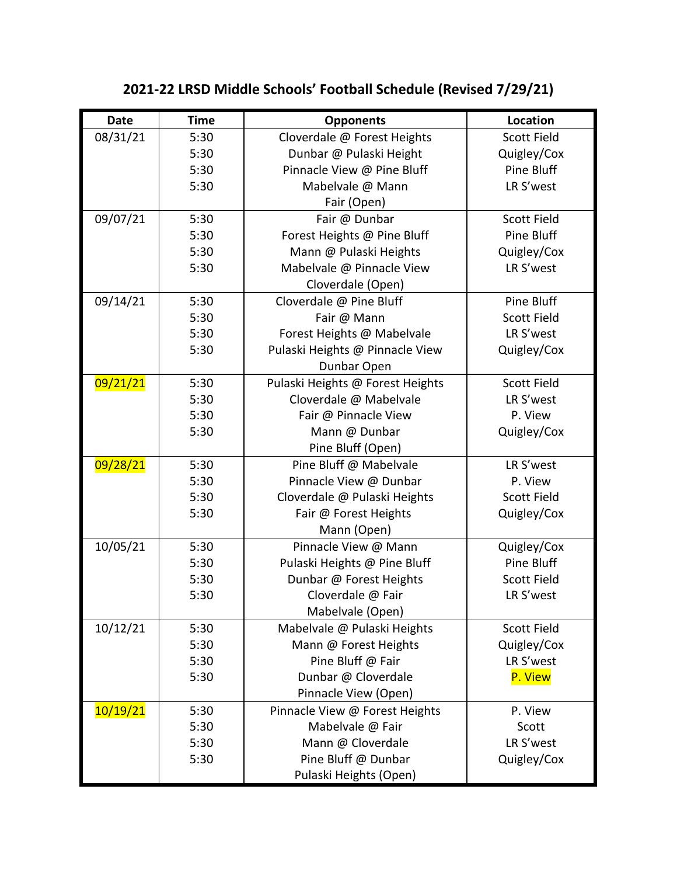| <b>Date</b> | <b>Time</b> | <b>Opponents</b>                 | Location           |
|-------------|-------------|----------------------------------|--------------------|
| 08/31/21    | 5:30        | Cloverdale @ Forest Heights      | <b>Scott Field</b> |
|             | 5:30        | Dunbar @ Pulaski Height          | Quigley/Cox        |
|             | 5:30        | Pinnacle View @ Pine Bluff       | Pine Bluff         |
|             | 5:30        | Mabelvale @ Mann                 | LR S'west          |
|             |             | Fair (Open)                      |                    |
| 09/07/21    | 5:30        | Fair @ Dunbar                    | <b>Scott Field</b> |
|             | 5:30        | Forest Heights @ Pine Bluff      | Pine Bluff         |
|             | 5:30        | Mann @ Pulaski Heights           | Quigley/Cox        |
|             | 5:30        | Mabelvale @ Pinnacle View        | LR S'west          |
|             |             | Cloverdale (Open)                |                    |
| 09/14/21    | 5:30        | Cloverdale @ Pine Bluff          | Pine Bluff         |
|             | 5:30        | Fair @ Mann                      | <b>Scott Field</b> |
|             | 5:30        | Forest Heights @ Mabelvale       | LR S'west          |
|             | 5:30        | Pulaski Heights @ Pinnacle View  | Quigley/Cox        |
|             |             | Dunbar Open                      |                    |
| 09/21/21    | 5:30        | Pulaski Heights @ Forest Heights | Scott Field        |
|             | 5:30        | Cloverdale @ Mabelvale           | LR S'west          |
|             | 5:30        | Fair @ Pinnacle View             | P. View            |
|             | 5:30        | Mann @ Dunbar                    | Quigley/Cox        |
|             |             | Pine Bluff (Open)                |                    |
| 09/28/21    | 5:30        | Pine Bluff @ Mabelvale           | LR S'west          |
|             | 5:30        | Pinnacle View @ Dunbar           | P. View            |
|             | 5:30        | Cloverdale @ Pulaski Heights     | <b>Scott Field</b> |
|             | 5:30        | Fair @ Forest Heights            | Quigley/Cox        |
|             |             | Mann (Open)                      |                    |
| 10/05/21    | 5:30        | Pinnacle View @ Mann             | Quigley/Cox        |
|             | 5:30        | Pulaski Heights @ Pine Bluff     | Pine Bluff         |
|             | 5:30        | Dunbar @ Forest Heights          | <b>Scott Field</b> |
|             | 5:30        | Cloverdale @ Fair                | LR S'west          |
|             |             | Mabelvale (Open)                 |                    |
| 10/12/21    | 5:30        | Mabelvale @ Pulaski Heights      | <b>Scott Field</b> |
|             | 5:30        | Mann @ Forest Heights            | Quigley/Cox        |
|             | 5:30        | Pine Bluff @ Fair                | LR S'west          |
|             | 5:30        | Dunbar @ Cloverdale              | P. View            |
|             |             | Pinnacle View (Open)             |                    |
| 10/19/21    | 5:30        | Pinnacle View @ Forest Heights   | P. View            |
|             | 5:30        | Mabelvale @ Fair                 | Scott              |
|             | 5:30        | Mann @ Cloverdale                | LR S'west          |
|             | 5:30        | Pine Bluff @ Dunbar              | Quigley/Cox        |
|             |             | Pulaski Heights (Open)           |                    |

## **2021-22 LRSD Middle Schools' Football Schedule (Revised 7/29/21)**